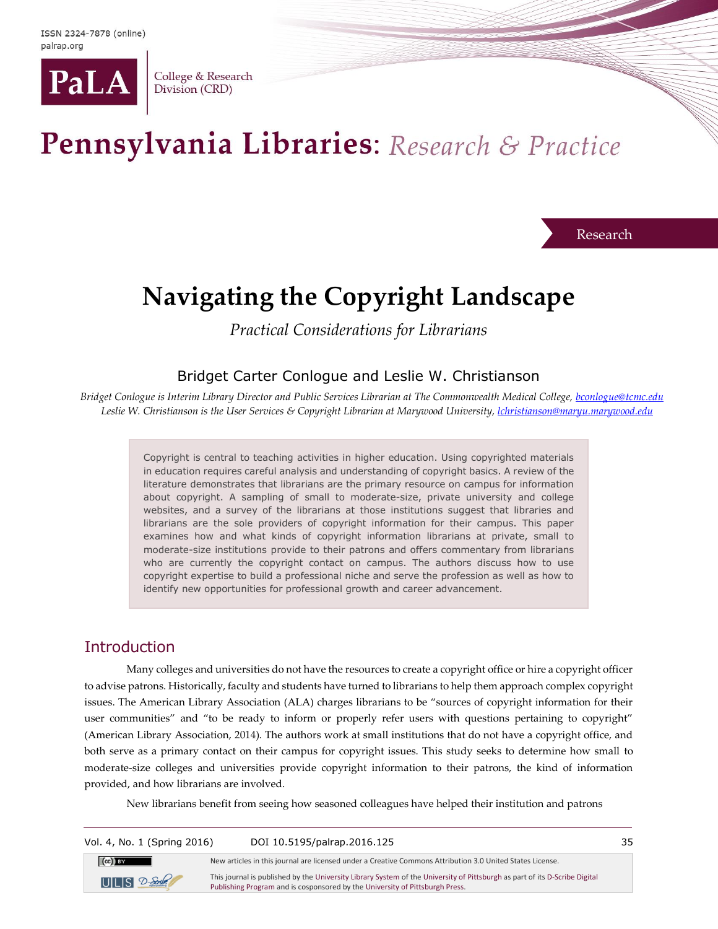

College & Research Division (CRD)

# Pennsylvania Libraries: Research & Practice

Research

## **Navigating the Copyright Landscape**

*Practical Considerations for Librarians*

## Bridget Carter Conlogue and Leslie W. Christianson

*Bridget Conlogue is Interim Library Director and Public Services Librarian at The Commonwealth Medical College, [bconlogue@tcmc.edu](mailto:bconlogue@tcmc.edu) Leslie W. Christianson is the User Services & Copyright Librarian at Marywood University[, lchristianson@maryu.marywood.edu](mailto:lchristianson@maryu.marywood.edu)*

> Copyright is central to teaching activities in higher education. Using copyrighted materials in education requires careful analysis and understanding of copyright basics. A review of the literature demonstrates that librarians are the primary resource on campus for information about copyright. A sampling of small to moderate-size, private university and college websites, and a survey of the librarians at those institutions suggest that libraries and librarians are the sole providers of copyright information for their campus. This paper examines how and what kinds of copyright information librarians at private, small to moderate-size institutions provide to their patrons and offers commentary from librarians who are currently the copyright contact on campus. The authors discuss how to use copyright expertise to build a professional niche and serve the profession as well as how to identify new opportunities for professional growth and career advancement.

## **Introduction**

Many colleges and universities do not have the resources to create a copyright office or hire a copyright officer to advise patrons. Historically, faculty and students have turned to librarians to help them approach complex copyright issues. The American Library Association (ALA) charges librarians to be "sources of copyright information for their user communities" and "to be ready to inform or properly refer users with questions pertaining to copyright" (American Library Association, 2014). The authors work at small institutions that do not have a copyright office, and both serve as a primary contact on their campus for copyright issues. This study seeks to determine how small to moderate-size colleges and universities provide copyright information to their patrons, the kind of information provided, and how librarians are involved.

New librarians benefit from seeing how seasoned colleagues have helped their institution and patrons

| Vol. 4, No. 1 (Spring 2016) | DOI 10.5195/palrap.2016.125                                                                                                                                                                                | 35 |
|-----------------------------|------------------------------------------------------------------------------------------------------------------------------------------------------------------------------------------------------------|----|
| $(\infty)$ BY               | New articles in this journal are licensed under a Creative Commons Attribution 3.0 United States License.                                                                                                  |    |
| $UILS$ $2$ -Sole            | This journal is published by the University Library System of the University of Pittsburgh as part of its D-Scribe Digital<br>Publishing Program and is cosponsored by the University of Pittsburgh Press. |    |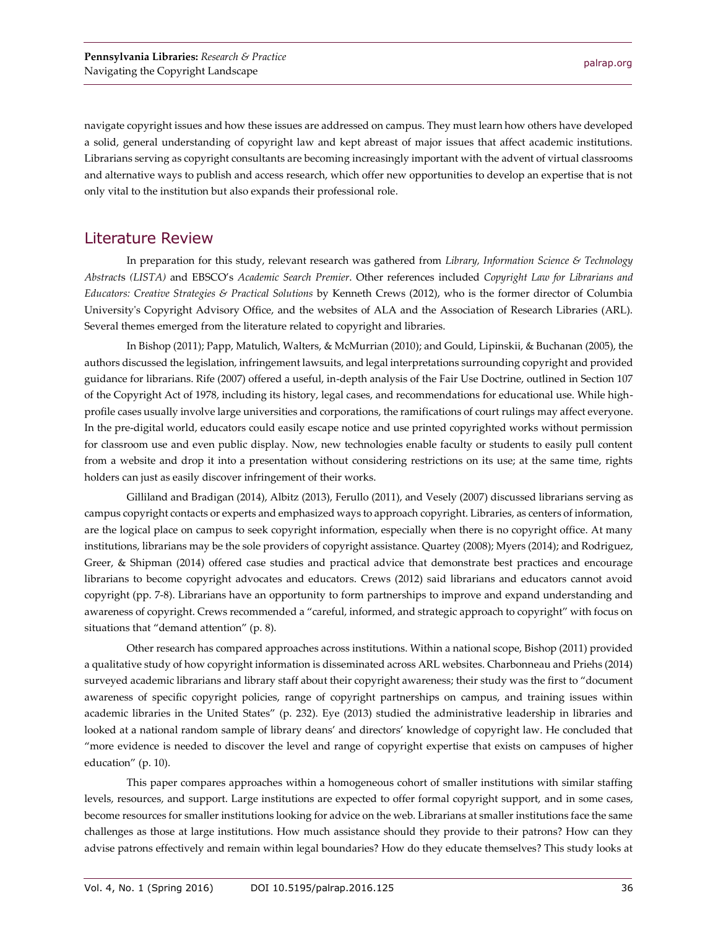navigate copyright issues and how these issues are addressed on campus. They must learn how others have developed a solid, general understanding of copyright law and kept abreast of major issues that affect academic institutions. Librarians serving as copyright consultants are becoming increasingly important with the advent of virtual classrooms and alternative ways to publish and access research, which offer new opportunities to develop an expertise that is not only vital to the institution but also expands their professional role.

## Literature Review

In preparation for this study, relevant research was gathered from *Library, Information Science & Technology Abstract*s *(LISTA)* and EBSCO's *Academic Search Premier*. Other references included *Copyright Law for Librarians and Educators: Creative Strategies & Practical Solutions* by Kenneth Crews (2012), who is the former director of Columbia University's Copyright Advisory Office, and the websites of ALA and the Association of Research Libraries (ARL). Several themes emerged from the literature related to copyright and libraries.

In Bishop (2011); Papp, Matulich, Walters, & McMurrian (2010); and Gould, Lipinskii, & Buchanan (2005), the authors discussed the legislation, infringement lawsuits, and legal interpretations surrounding copyright and provided guidance for librarians. Rife (2007) offered a useful, in-depth analysis of the Fair Use Doctrine, outlined in Section 107 of the Copyright Act of 1978, including its history, legal cases, and recommendations for educational use. While highprofile cases usually involve large universities and corporations, the ramifications of court rulings may affect everyone. In the pre-digital world, educators could easily escape notice and use printed copyrighted works without permission for classroom use and even public display. Now, new technologies enable faculty or students to easily pull content from a website and drop it into a presentation without considering restrictions on its use; at the same time, rights holders can just as easily discover infringement of their works.

Gilliland and Bradigan (2014), Albitz (2013), Ferullo (2011), and Vesely (2007) discussed librarians serving as campus copyright contacts or experts and emphasized ways to approach copyright. Libraries, as centers of information, are the logical place on campus to seek copyright information, especially when there is no copyright office. At many institutions, librarians may be the sole providers of copyright assistance. Quartey (2008); Myers (2014); and Rodriguez, Greer, & Shipman (2014) offered case studies and practical advice that demonstrate best practices and encourage librarians to become copyright advocates and educators. Crews (2012) said librarians and educators cannot avoid copyright (pp. 7-8). Librarians have an opportunity to form partnerships to improve and expand understanding and awareness of copyright. Crews recommended a "careful, informed, and strategic approach to copyright" with focus on situations that "demand attention" (p. 8).

Other research has compared approaches across institutions. Within a national scope, Bishop (2011) provided a qualitative study of how copyright information is disseminated across ARL websites. Charbonneau and Priehs (2014) surveyed academic librarians and library staff about their copyright awareness; their study was the first to "document awareness of specific copyright policies, range of copyright partnerships on campus, and training issues within academic libraries in the United States" (p. 232). Eye (2013) studied the administrative leadership in libraries and looked at a national random sample of library deans' and directors' knowledge of copyright law. He concluded that "more evidence is needed to discover the level and range of copyright expertise that exists on campuses of higher education" (p. 10).

This paper compares approaches within a homogeneous cohort of smaller institutions with similar staffing levels, resources, and support. Large institutions are expected to offer formal copyright support, and in some cases, become resources for smaller institutions looking for advice on the web. Librarians at smaller institutions face the same challenges as those at large institutions. How much assistance should they provide to their patrons? How can they advise patrons effectively and remain within legal boundaries? How do they educate themselves? This study looks at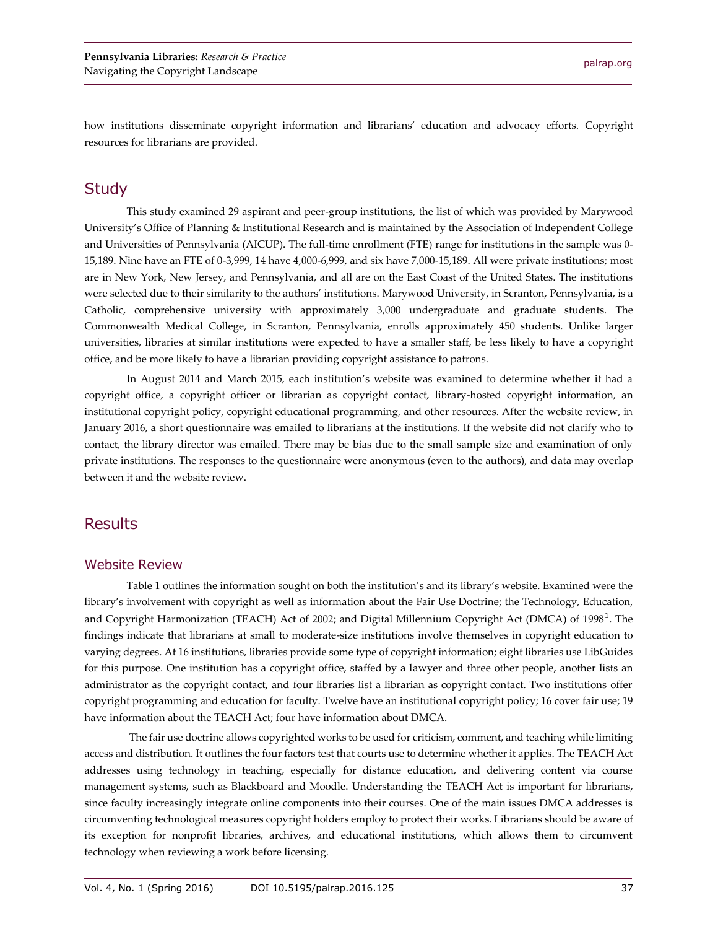how institutions disseminate copyright information and librarians' education and advocacy efforts. Copyright resources for librarians are provided.

## **Study**

This study examined 29 aspirant and peer-group institutions, the list of which was provided by Marywood University's Office of Planning & Institutional Research and is maintained by the Association of Independent College and Universities of Pennsylvania (AICUP). The full-time enrollment (FTE) range for institutions in the sample was 0- 15,189. Nine have an FTE of 0-3,999, 14 have 4,000-6,999, and six have 7,000-15,189. All were private institutions; most are in New York, New Jersey, and Pennsylvania, and all are on the East Coast of the United States. The institutions were selected due to their similarity to the authors' institutions. Marywood University, in Scranton, Pennsylvania, is a Catholic, comprehensive university with approximately 3,000 undergraduate and graduate students. The Commonwealth Medical College, in Scranton, Pennsylvania, enrolls approximately 450 students. Unlike larger universities, libraries at similar institutions were expected to have a smaller staff, be less likely to have a copyright office, and be more likely to have a librarian providing copyright assistance to patrons.

In August 2014 and March 2015, each institution's website was examined to determine whether it had a copyright office, a copyright officer or librarian as copyright contact, library-hosted copyright information, an institutional copyright policy, copyright educational programming, and other resources. After the website review, in January 2016, a short questionnaire was emailed to librarians at the institutions. If the website did not clarify who to contact, the library director was emailed. There may be bias due to the small sample size and examination of only private institutions. The responses to the questionnaire were anonymous (even to the authors), and data may overlap between it and the website review.

## **Results**

#### Website Review

Table 1 outlines the information sought on both the institution's and its library's website. Examined were the library's involvement with copyright as well as information about the Fair Use Doctrine; the Technology, Education, and Copyright Harmonization (TEACH) Act of 2002; and Digital Millennium Copyright Act (DMCA) of 1998<sup>1</sup>. The findings indicate that librarians at small to moderate-size institutions involve themselves in copyright education to varying degrees. At 16 institutions, libraries provide some type of copyright information; eight libraries use LibGuides for this purpose. One institution has a copyright office, staffed by a lawyer and three other people, another lists an administrator as the copyright contact, and four libraries list a librarian as copyright contact. Two institutions offer copyright programming and education for faculty. Twelve have an institutional copyright policy; 16 cover fair use; 19 have information about the TEACH Act; four have information about DMCA.

The fair use doctrine allows copyrighted works to be used for criticism, comment, and teaching while limiting access and distribution. It outlines the four factors test that courts use to determine whether it applies. The TEACH Act addresses using technology in teaching, especially for distance education, and delivering content via course management systems, such as Blackboard and Moodle. Understanding the TEACH Act is important for librarians, since faculty increasingly integrate online components into their courses. One of the main issues DMCA addresses is circumventing technological measures copyright holders employ to protect their works. Librarians should be aware of its exception for nonprofit libraries, archives, and educational institutions, which allows them to circumvent technology when reviewing a work before licensing.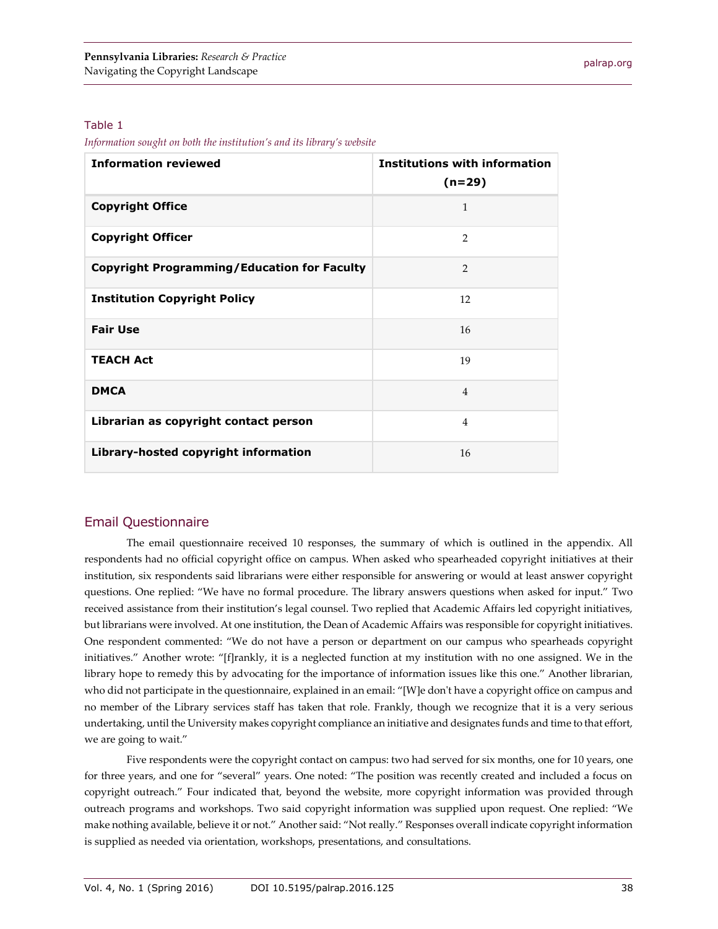#### Table 1

*Information sought on both the institution's and its library's website*

| <b>Information reviewed</b>                        | <b>Institutions with information</b><br>$(n=29)$ |
|----------------------------------------------------|--------------------------------------------------|
| <b>Copyright Office</b>                            | 1                                                |
| <b>Copyright Officer</b>                           | $\overline{2}$                                   |
| <b>Copyright Programming/Education for Faculty</b> | $\overline{2}$                                   |
| <b>Institution Copyright Policy</b>                | 12                                               |
| <b>Fair Use</b>                                    | 16                                               |
| <b>TEACH Act</b>                                   | 19                                               |
| <b>DMCA</b>                                        | $\overline{4}$                                   |
| Librarian as copyright contact person              | $\overline{4}$                                   |
| Library-hosted copyright information               | 16                                               |

## Email Questionnaire

The email questionnaire received 10 responses, the summary of which is outlined in the appendix. All respondents had no official copyright office on campus. When asked who spearheaded copyright initiatives at their institution, six respondents said librarians were either responsible for answering or would at least answer copyright questions. One replied: "We have no formal procedure. The library answers questions when asked for input." Two received assistance from their institution's legal counsel. Two replied that Academic Affairs led copyright initiatives, but librarians were involved. At one institution, the Dean of Academic Affairs was responsible for copyright initiatives. One respondent commented: "We do not have a person or department on our campus who spearheads copyright initiatives." Another wrote: "[f]rankly, it is a neglected function at my institution with no one assigned. We in the library hope to remedy this by advocating for the importance of information issues like this one." Another librarian, who did not participate in the questionnaire, explained in an email: "[W]e don't have a copyright office on campus and no member of the Library services staff has taken that role. Frankly, though we recognize that it is a very serious undertaking, until the University makes copyright compliance an initiative and designates funds and time to that effort, we are going to wait."

Five respondents were the copyright contact on campus: two had served for six months, one for 10 years, one for three years, and one for "several" years. One noted: "The position was recently created and included a focus on copyright outreach." Four indicated that, beyond the website, more copyright information was provided through outreach programs and workshops. Two said copyright information was supplied upon request. One replied: "We make nothing available, believe it or not." Another said: "Not really." Responses overall indicate copyright information is supplied as needed via orientation, workshops, presentations, and consultations.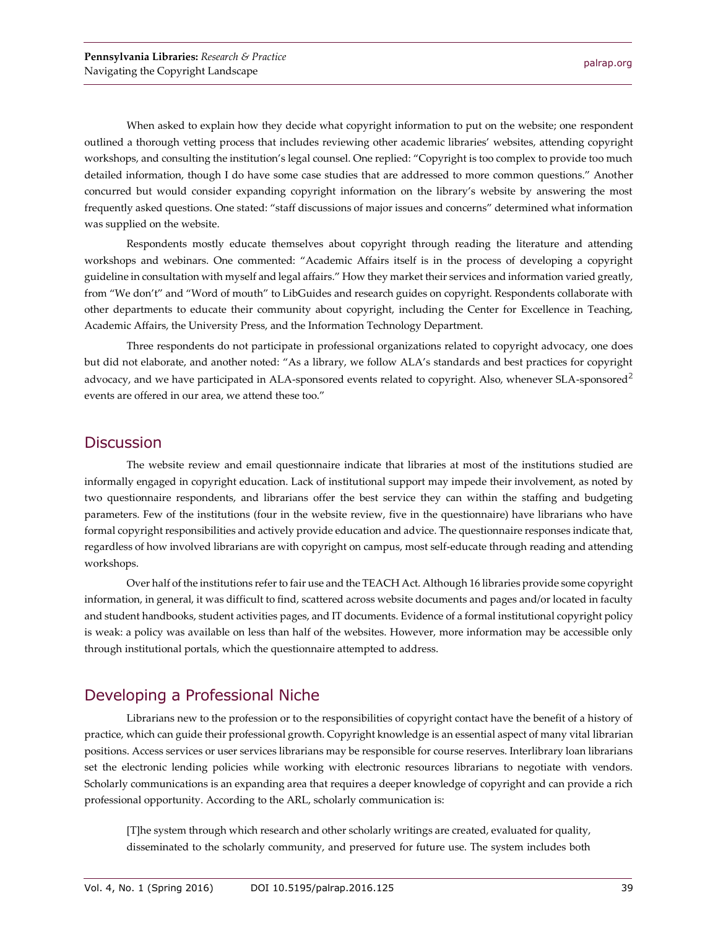When asked to explain how they decide what copyright information to put on the website; one respondent outlined a thorough vetting process that includes reviewing other academic libraries' websites, attending copyright workshops, and consulting the institution's legal counsel. One replied: "Copyright is too complex to provide too much detailed information, though I do have some case studies that are addressed to more common questions." Another concurred but would consider expanding copyright information on the library's website by answering the most frequently asked questions. One stated: "staff discussions of major issues and concerns" determined what information was supplied on the website.

Respondents mostly educate themselves about copyright through reading the literature and attending workshops and webinars. One commented: "Academic Affairs itself is in the process of developing a copyright guideline in consultation with myself and legal affairs." How they market their services and information varied greatly, from "We don't" and "Word of mouth" to LibGuides and research guides on copyright. Respondents collaborate with other departments to educate their community about copyright, including the Center for Excellence in Teaching, Academic Affairs, the University Press, and the Information Technology Department.

Three respondents do not participate in professional organizations related to copyright advocacy, one does but did not elaborate, and another noted: "As a library, we follow ALA's standards and best practices for copyright advocacy, and we have participated in ALA-sponsored events related to copyright. Also, whenever SLA-sponsored<sup>2</sup> events are offered in our area, we attend these too."

## **Discussion**

The website review and email questionnaire indicate that libraries at most of the institutions studied are informally engaged in copyright education. Lack of institutional support may impede their involvement, as noted by two questionnaire respondents, and librarians offer the best service they can within the staffing and budgeting parameters. Few of the institutions (four in the website review, five in the questionnaire) have librarians who have formal copyright responsibilities and actively provide education and advice. The questionnaire responses indicate that, regardless of how involved librarians are with copyright on campus, most self-educate through reading and attending workshops.

Over half of the institutions refer to fair use and the TEACH Act. Although 16 libraries provide some copyright information, in general, it was difficult to find, scattered across website documents and pages and/or located in faculty and student handbooks, student activities pages, and IT documents. Evidence of a formal institutional copyright policy is weak: a policy was available on less than half of the websites. However, more information may be accessible only through institutional portals, which the questionnaire attempted to address.

## Developing a Professional Niche

Librarians new to the profession or to the responsibilities of copyright contact have the benefit of a history of practice, which can guide their professional growth. Copyright knowledge is an essential aspect of many vital librarian positions. Access services or user services librarians may be responsible for course reserves. Interlibrary loan librarians set the electronic lending policies while working with electronic resources librarians to negotiate with vendors. Scholarly communications is an expanding area that requires a deeper knowledge of copyright and can provide a rich professional opportunity. According to the ARL, scholarly communication is:

[T]he system through which research and other scholarly writings are created, evaluated for quality, disseminated to the scholarly community, and preserved for future use. The system includes both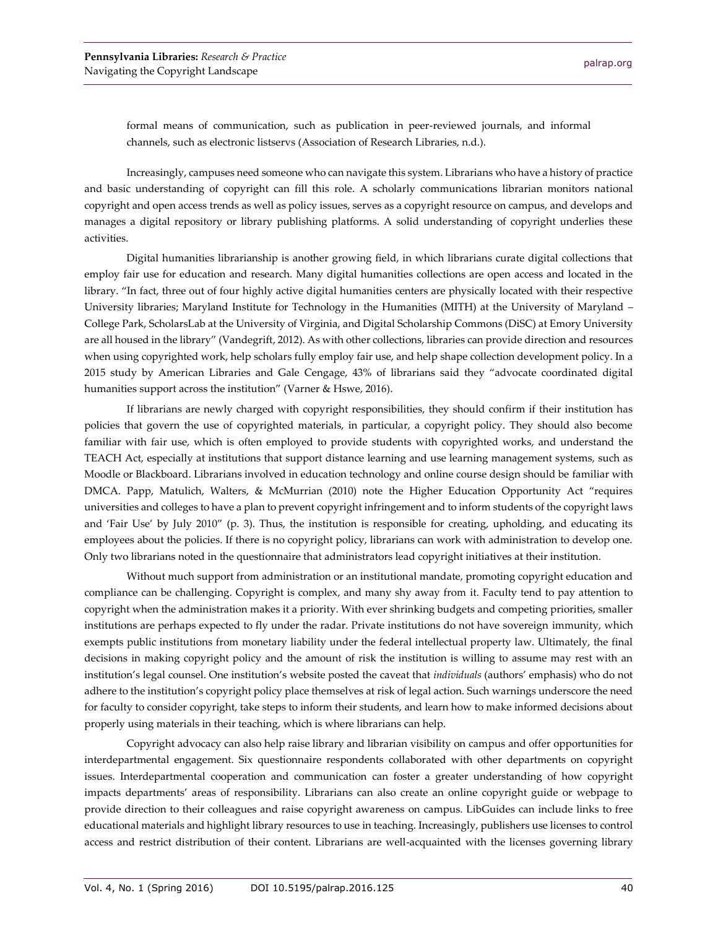formal means of communication, such as publication in peer-reviewed journals, and informal channels, such as electronic listservs (Association of Research Libraries, n.d.).

Increasingly, campuses need someone who can navigate this system. Librarians who have a history of practice and basic understanding of copyright can fill this role. A scholarly communications librarian monitors national copyright and open access trends as well as policy issues, serves as a copyright resource on campus, and develops and manages a digital repository or library publishing platforms. A solid understanding of copyright underlies these activities.

Digital humanities librarianship is another growing field, in which librarians curate digital collections that employ fair use for education and research. Many digital humanities collections are open access and located in the library. "In fact, three out of four highly active digital humanities centers are physically located with their respective University libraries; Maryland Institute for Technology in the Humanities (MITH) at the University of Maryland – College Park, ScholarsLab at the University of Virginia, and Digital Scholarship Commons (DiSC) at Emory University are all housed in the library" (Vandegrift, 2012). As with other collections, libraries can provide direction and resources when using copyrighted work, help scholars fully employ fair use, and help shape collection development policy. In a 2015 study by American Libraries and Gale Cengage, 43% of librarians said they "advocate coordinated digital humanities support across the institution" (Varner & Hswe, 2016).

If librarians are newly charged with copyright responsibilities, they should confirm if their institution has policies that govern the use of copyrighted materials, in particular, a copyright policy. They should also become familiar with fair use, which is often employed to provide students with copyrighted works, and understand the TEACH Act, especially at institutions that support distance learning and use learning management systems, such as Moodle or Blackboard. Librarians involved in education technology and online course design should be familiar with DMCA. Papp, Matulich, Walters, & McMurrian (2010) note the Higher Education Opportunity Act "requires universities and colleges to have a plan to prevent copyright infringement and to inform students of the copyright laws and 'Fair Use' by July 2010" (p. 3). Thus, the institution is responsible for creating, upholding, and educating its employees about the policies. If there is no copyright policy, librarians can work with administration to develop one. Only two librarians noted in the questionnaire that administrators lead copyright initiatives at their institution.

Without much support from administration or an institutional mandate, promoting copyright education and compliance can be challenging. Copyright is complex, and many shy away from it. Faculty tend to pay attention to copyright when the administration makes it a priority. With ever shrinking budgets and competing priorities, smaller institutions are perhaps expected to fly under the radar. Private institutions do not have sovereign immunity, which exempts public institutions from monetary liability under the federal intellectual property law. Ultimately, the final decisions in making copyright policy and the amount of risk the institution is willing to assume may rest with an institution's legal counsel. One institution's website posted the caveat that *individuals* (authors' emphasis) who do not adhere to the institution's copyright policy place themselves at risk of legal action. Such warnings underscore the need for faculty to consider copyright, take steps to inform their students, and learn how to make informed decisions about properly using materials in their teaching, which is where librarians can help.

Copyright advocacy can also help raise library and librarian visibility on campus and offer opportunities for interdepartmental engagement. Six questionnaire respondents collaborated with other departments on copyright issues. Interdepartmental cooperation and communication can foster a greater understanding of how copyright impacts departments' areas of responsibility. Librarians can also create an online copyright guide or webpage to provide direction to their colleagues and raise copyright awareness on campus. LibGuides can include links to free educational materials and highlight library resources to use in teaching. Increasingly, publishers use licenses to control access and restrict distribution of their content. Librarians are well-acquainted with the licenses governing library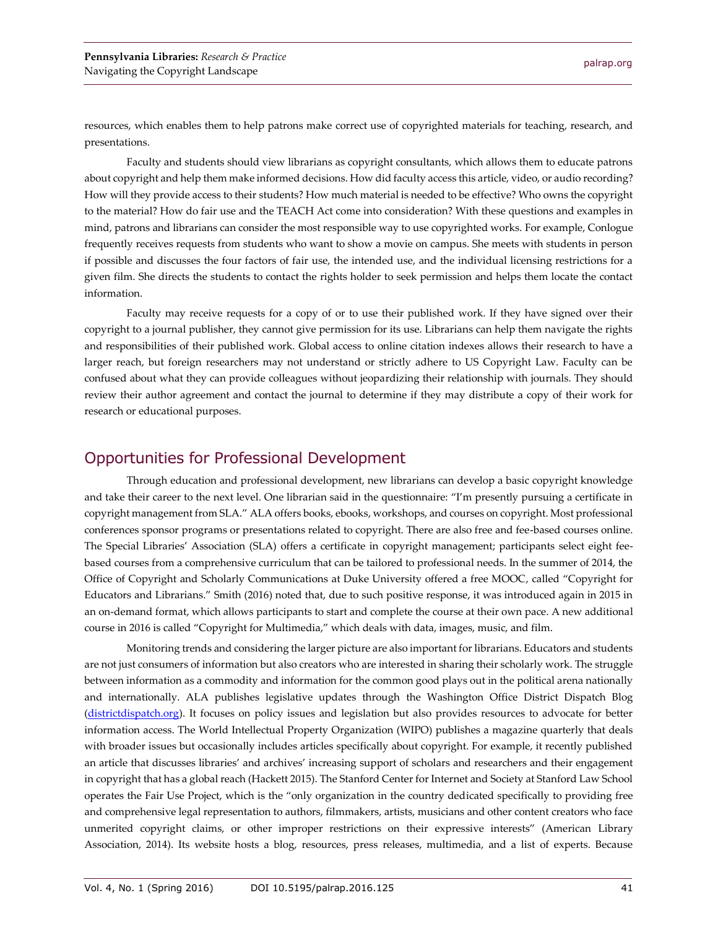resources, which enables them to help patrons make correct use of copyrighted materials for teaching, research, and presentations.

Faculty and students should view librarians as copyright consultants, which allows them to educate patrons about copyright and help them make informed decisions. How did faculty access this article, video, or audio recording? How will they provide access to their students? How much material is needed to be effective? Who owns the copyright to the material? How do fair use and the TEACH Act come into consideration? With these questions and examples in mind, patrons and librarians can consider the most responsible way to use copyrighted works. For example, Conlogue frequently receives requests from students who want to show a movie on campus. She meets with students in person if possible and discusses the four factors of fair use, the intended use, and the individual licensing restrictions for a given film. She directs the students to contact the rights holder to seek permission and helps them locate the contact information.

Faculty may receive requests for a copy of or to use their published work. If they have signed over their copyright to a journal publisher, they cannot give permission for its use. Librarians can help them navigate the rights and responsibilities of their published work. Global access to online citation indexes allows their research to have a larger reach, but foreign researchers may not understand or strictly adhere to US Copyright Law. Faculty can be confused about what they can provide colleagues without jeopardizing their relationship with journals. They should review their author agreement and contact the journal to determine if they may distribute a copy of their work for research or educational purposes.

## Opportunities for Professional Development

Through education and professional development, new librarians can develop a basic copyright knowledge and take their career to the next level. One librarian said in the questionnaire: "I'm presently pursuing a certificate in copyright management from SLA." ALA offers books, ebooks, workshops, and courses on copyright. Most professional conferences sponsor programs or presentations related to copyright. There are also free and fee-based courses online. The Special Libraries' Association (SLA) offers a certificate in copyright management; participants select eight feebased courses from a comprehensive curriculum that can be tailored to professional needs. In the summer of 2014, the Office of Copyright and Scholarly Communications at Duke University offered a free MOOC, called "Copyright for Educators and Librarians." Smith (2016) noted that, due to such positive response, it was introduced again in 2015 in an on-demand format, which allows participants to start and complete the course at their own pace. A new additional course in 2016 is called "Copyright for Multimedia," which deals with data, images, music, and film.

Monitoring trends and considering the larger picture are also important for librarians. Educators and students are not just consumers of information but also creators who are interested in sharing their scholarly work. The struggle between information as a commodity and information for the common good plays out in the political arena nationally and internationally. ALA publishes legislative updates through the Washington Office District Dispatch Blog [\(districtdispatch.org\)](http://www.districtdispatch.org/). It focuses on policy issues and legislation but also provides resources to advocate for better information access. The World Intellectual Property Organization (WIPO) publishes a magazine quarterly that deals with broader issues but occasionally includes articles specifically about copyright. For example, it recently published an article that discusses libraries' and archives' increasing support of scholars and researchers and their engagement in copyright that has a global reach (Hackett 2015). The Stanford Center for Internet and Society at Stanford Law School operates the Fair Use Project, which is the "only organization in the country dedicated specifically to providing free and comprehensive legal representation to authors, filmmakers, artists, musicians and other content creators who face unmerited copyright claims, or other improper restrictions on their expressive interests" (American Library Association, 2014). Its website hosts a blog, resources, press releases, multimedia, and a list of experts. Because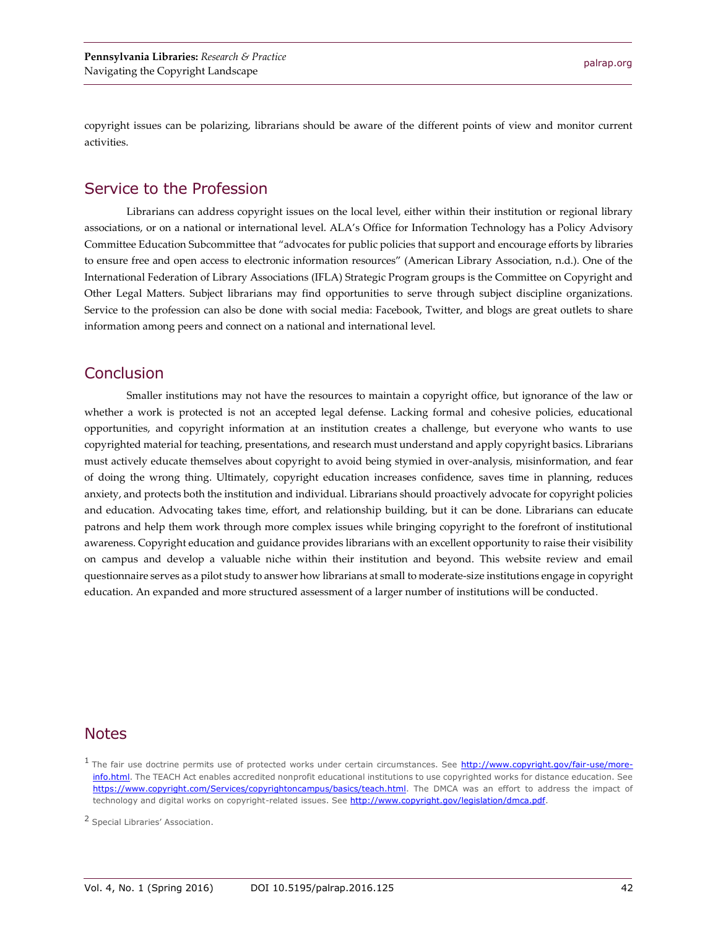copyright issues can be polarizing, librarians should be aware of the different points of view and monitor current activities.

## Service to the Profession

Librarians can address copyright issues on the local level, either within their institution or regional library associations, or on a national or international level. ALA's Office for Information Technology has a Policy Advisory Committee Education Subcommittee that "advocates for public policies that support and encourage efforts by libraries to ensure free and open access to electronic information resources" (American Library Association, n.d.). One of the International Federation of Library Associations (IFLA) Strategic Program groups is the Committee on Copyright and Other Legal Matters. Subject librarians may find opportunities to serve through subject discipline organizations. Service to the profession can also be done with social media: Facebook, Twitter, and blogs are great outlets to share information among peers and connect on a national and international level.

## Conclusion

Smaller institutions may not have the resources to maintain a copyright office, but ignorance of the law or whether a work is protected is not an accepted legal defense. Lacking formal and cohesive policies, educational opportunities, and copyright information at an institution creates a challenge, but everyone who wants to use copyrighted material for teaching, presentations, and research must understand and apply copyright basics. Librarians must actively educate themselves about copyright to avoid being stymied in over-analysis, misinformation, and fear of doing the wrong thing. Ultimately, copyright education increases confidence, saves time in planning, reduces anxiety, and protects both the institution and individual. Librarians should proactively advocate for copyright policies and education. Advocating takes time, effort, and relationship building, but it can be done. Librarians can educate patrons and help them work through more complex issues while bringing copyright to the forefront of institutional awareness. Copyright education and guidance provides librarians with an excellent opportunity to raise their visibility on campus and develop a valuable niche within their institution and beyond. This website review and email questionnaire serves as a pilot study to answer how librarians at small to moderate-size institutions engage in copyright education. An expanded and more structured assessment of a larger number of institutions will be conducted.

## Notes

<sup>&</sup>lt;sup>1</sup> The fair use doctrine permits use of protected works under certain circumstances. See [http://www.copyright.gov/fair-use/more](http://www.copyright.gov/fair-use/more-info.html)[info.html.](http://www.copyright.gov/fair-use/more-info.html) The TEACH Act enables accredited nonprofit educational institutions to use copyrighted works for distance education. See https://www.copyright.com/Services/copyrightoncampus/basics/teach.html</u>. The DMCA was an effort to address the impact of technology and digital works on copyright-related issues. See [http://www.copyright.gov/legislation/dmca.pdf.](http://www.copyright.gov/legislation/dmca.pdf)

<sup>2</sup> Special Libraries' Association.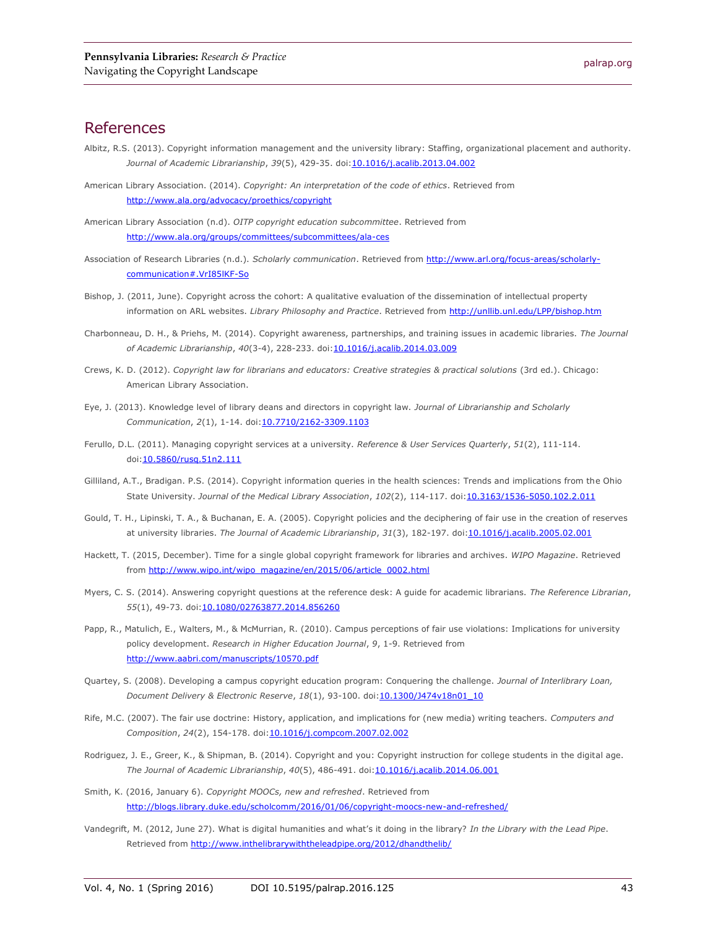## References

- Albitz, R.S. (2013). Copyright information management and the university library: Staffing, organizational placement and authority. *Journal of Academic Librarianship*, *39*(5), 429-35. doi[:10.1016/j.acalib.2013.04.002](http://dx.doi.org/10.1016/j.acalib.2013.04.002)
- American Library Association. (2014). *Copyright: An interpretation of the code of ethics*. Retrieved from <http://www.ala.org/advocacy/proethics/copyright>
- American Library Association (n.d). *OITP copyright education subcommittee*. Retrieved from <http://www.ala.org/groups/committees/subcommittees/ala-ces>
- Association of Research Libraries (n.d.). *Scholarly communication*. Retrieved fro[m http://www.arl.org/focus-areas/scholarly](http://www.arl.org/focus-areas/scholarly-communication#.VrI85lKF-So)[communication#.VrI85lKF-So](http://www.arl.org/focus-areas/scholarly-communication#.VrI85lKF-So)
- Bishop, J. (2011, June). Copyright across the cohort: A qualitative evaluation of the dissemination of intellectual property information on ARL websites. *Library Philosophy and Practice*. Retrieved from<http://unllib.unl.edu/LPP/bishop.htm>
- Charbonneau, D. H., & Priehs, M. (2014). Copyright awareness, partnerships, and training issues in academic libraries. *The Journal of Academic Librarianship*, *40*(3-4), 228-233. doi[:10.1016/j.acalib.2014.03.009](http://dx.doi.org/10.1016/j.acalib.2014.03.009)
- Crews, K. D. (2012). *Copyright law for librarians and educators: Creative strategies & practical solutions* (3rd ed.). Chicago: American Library Association.
- Eye, J. (2013). Knowledge level of library deans and directors in copyright law. *Journal of Librarianship and Scholarly Communication*, *2*(1), 1-14. doi[:10.7710/2162-3309.1103](http://doi.org/10.7710/2162-3309.1103)
- Ferullo, D.L. (2011). Managing copyright services at a university. *Reference & User Services Quarterly*, *51*(2), 111-114. doi[:10.5860/rusq.51n2.111](http://dx.doi.org/10.5860/rusq.51n2.111)
- Gilliland, A.T., Bradigan. P.S. (2014). Copyright information queries in the health sciences: Trends and implications from the Ohio State University. *Journal of the Medical Library Association*, *102*(2), 114-117. doi[:10.3163/1536-5050.102.2.011](http://dx.doi.org/10.3163%2F1536-5050.102.2.011)
- Gould, T. H., Lipinski, T. A., & Buchanan, E. A. (2005). Copyright policies and the deciphering of fair use in the creation of reserves at university libraries. *The Journal of Academic Librarianship*, *31*(3), 182-197. doi[:10.1016/j.acalib.2005.02.001](http://dx.doi.org/10.1016/j.acalib.2005.02.001)
- Hackett, T. (2015, December). Time for a single global copyright framework for libraries and archives. *WIPO Magazine*. Retrieved from [http://www.wipo.int/wipo\\_magazine/en/2015/06/article\\_0002.html](http://www.wipo.int/wipo_magazine/en/2015/06/article_0002.html)
- Myers, C. S. (2014). Answering copyright questions at the reference desk: A guide for academic librarians. *The Reference Librarian*, 55(1), 49-73. doi: 10.1080/02763877.2014.856260
- Papp, R., Matulich, E., Walters, M., & McMurrian, R. (2010). Campus perceptions of fair use violations: Implications for university policy development. *Research in Higher Education Journal*, *9*, 1-9. Retrieved from <http://www.aabri.com/manuscripts/10570.pdf>
- Quartey, S. (2008). Developing a campus copyright education program: Conquering the challenge. *Journal of Interlibrary Loan, Document Delivery & Electronic Reserve*, *18*(1), 93-100. doi[:10.1300/J474v18n01\\_10](http://dx.doi.org/10.1300/J474v18n01_10)
- Rife, M.C. (2007). The fair use doctrine: History, application, and implications for (new media) writing teachers. *Computers and Composition*, *24*(2), 154-178. doi[:10.1016/j.compcom.2007.02.002](http://dx.doi.org/10.1016/j.compcom.2007.02.002)
- Rodriguez, J. E., Greer, K., & Shipman, B. (2014). Copyright and you: Copyright instruction for college students in the digital age. *The Journal of Academic Librarianship*, *40*(5), 486-491. doi[:10.1016/j.acalib.2014.06.001](http://dx.doi.org/10.1016/j.acalib.2014.06.001)
- Smith, K. (2016, January 6). *Copyright MOOCs, new and refreshed*. Retrieved from <http://blogs.library.duke.edu/scholcomm/2016/01/06/copyright-moocs-new-and-refreshed/>
- Vandegrift, M. (2012, June 27). What is digital humanities and what's it doing in the library? *In the Library with the Lead Pipe*. Retrieved from<http://www.inthelibrarywiththeleadpipe.org/2012/dhandthelib/>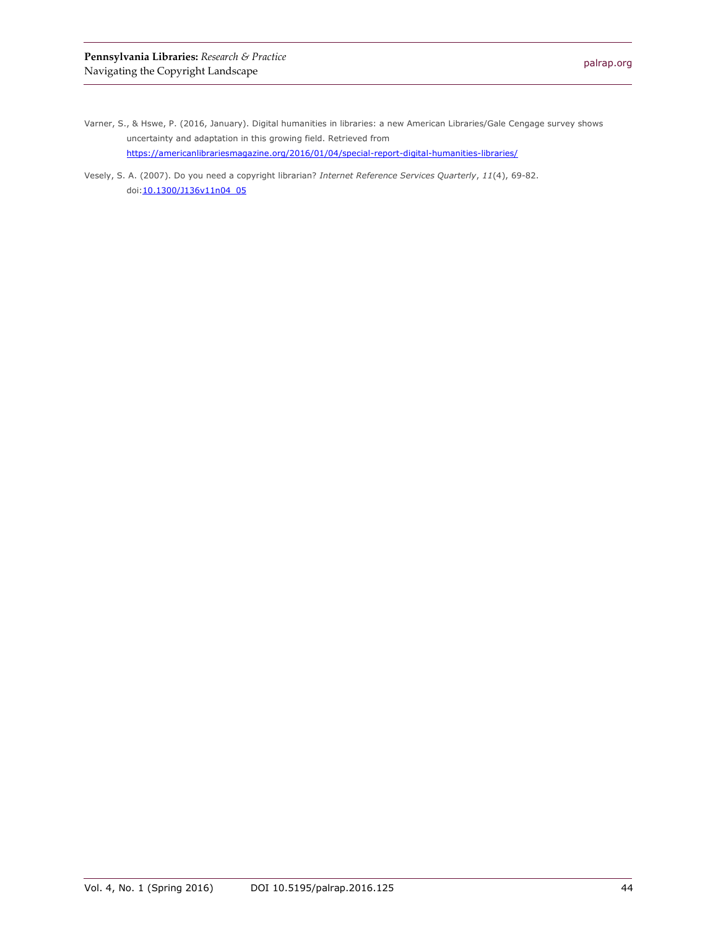- Varner, S., & Hswe, P. (2016, January). Digital humanities in libraries: a new American Libraries/Gale Cengage survey shows uncertainty and adaptation in this growing field. Retrieved from <https://americanlibrariesmagazine.org/2016/01/04/special-report-digital-humanities-libraries/>
- Vesely, S. A. (2007). Do you need a copyright librarian? *Internet Reference Services Quarterly*, *11*(4), 69-82. doi[:10.1300/J136v11n04\\_05](http://dx.doi.org/10.1300/J136v11n04_05)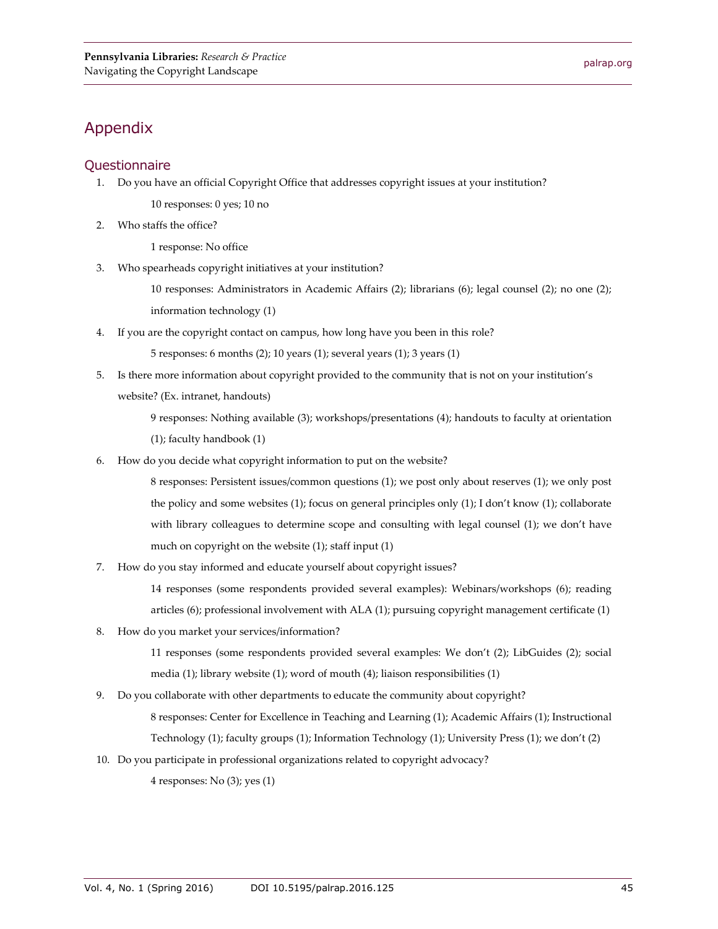## Appendix

## **Questionnaire**

1. Do you have an official Copyright Office that addresses copyright issues at your institution?

10 responses: 0 yes; 10 no

2. Who staffs the office?

1 response: No office

3. Who spearheads copyright initiatives at your institution?

10 responses: Administrators in Academic Affairs (2); librarians (6); legal counsel (2); no one (2); information technology (1)

4. If you are the copyright contact on campus, how long have you been in this role?

5 responses: 6 months (2); 10 years (1); several years (1); 3 years (1)

5. Is there more information about copyright provided to the community that is not on your institution's website? (Ex. intranet, handouts)

> 9 responses: Nothing available (3); workshops/presentations (4); handouts to faculty at orientation (1); faculty handbook (1)

6. How do you decide what copyright information to put on the website?

8 responses: Persistent issues/common questions (1); we post only about reserves (1); we only post the policy and some websites (1); focus on general principles only (1); I don't know (1); collaborate with library colleagues to determine scope and consulting with legal counsel (1); we don't have much on copyright on the website (1); staff input (1)

7. How do you stay informed and educate yourself about copyright issues?

14 responses (some respondents provided several examples): Webinars/workshops (6); reading articles (6); professional involvement with ALA (1); pursuing copyright management certificate (1)

8. How do you market your services/information?

11 responses (some respondents provided several examples: We don't (2); LibGuides (2); social media (1); library website (1); word of mouth (4); liaison responsibilities (1)

9. Do you collaborate with other departments to educate the community about copyright?

8 responses: Center for Excellence in Teaching and Learning (1); Academic Affairs (1); Instructional Technology (1); faculty groups (1); Information Technology (1); University Press (1); we don't (2)

10. Do you participate in professional organizations related to copyright advocacy?

4 responses: No (3); yes (1)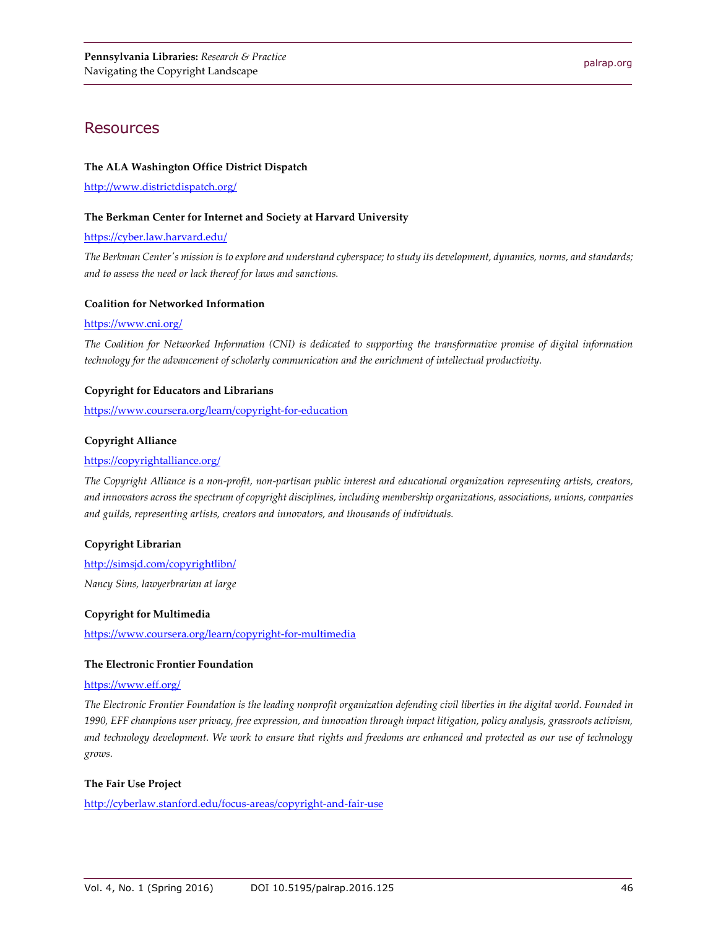## **Resources**

#### **The ALA Washington Office District Dispatch**

<http://www.districtdispatch.org/>

#### **The Berkman Center for Internet and Society at Harvard University**

#### <https://cyber.law.harvard.edu/>

*The Berkman Center's mission is to explore and understand cyberspace; to study its development, dynamics, norms, and standards; and to assess the need or lack thereof for laws and sanctions.*

#### **Coalition for Networked Information**

#### <https://www.cni.org/>

*The Coalition for Networked Information (CNI) is dedicated to supporting the transformative promise of digital information technology for the advancement of scholarly communication and the enrichment of intellectual productivity.*

#### **Copyright for Educators and Librarians**

<https://www.coursera.org/learn/copyright-for-education>

#### **Copyright Alliance**

#### <https://copyrightalliance.org/>

*The Copyright Alliance is a non-profit, non-partisan public interest and educational organization representing artists, creators, and innovators across the spectrum of copyright disciplines, including membership organizations, associations, unions, companies and guilds, representing artists, creators and innovators, and thousands of individuals.*

#### **Copyright Librarian**

#### <http://simsjd.com/copyrightlibn/>

*Nancy Sims, lawyerbrarian at large*

#### **Copyright for Multimedia**

<https://www.coursera.org/learn/copyright-for-multimedia>

#### **The Electronic Frontier Foundation**

#### <https://www.eff.org/>

*The Electronic Frontier Foundation is the leading nonprofit organization defending civil liberties in the digital world. Founded in 1990, EFF champions user privacy, free expression, and innovation through impact litigation, policy analysis, grassroots activism, and technology development. We work to ensure that rights and freedoms are enhanced and protected as our use of technology grows.*

#### **The Fair Use Project**

<http://cyberlaw.stanford.edu/focus-areas/copyright-and-fair-use>